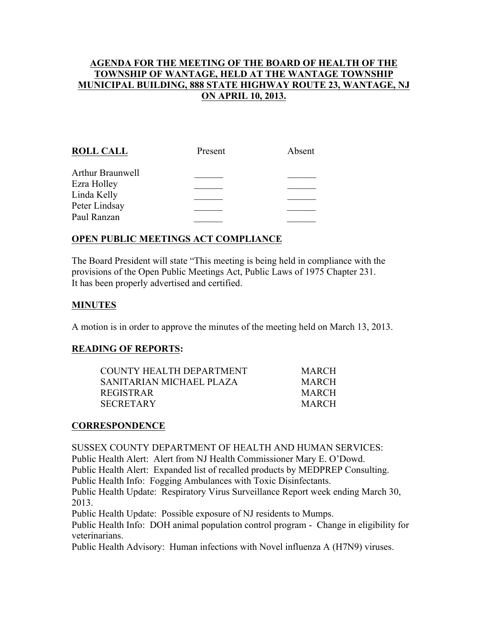## AGENDA FOR THE MEETING OF THE BOARD OF HEALTH OF THE TOWNSHIP OF WANTAGE, HELD AT THE WANTAGE TOWNSHIP MUNICIPAL BUILDING, 888 STATE HIGHWAY ROUTE 23, WANTAGE, NJ ON APRIL 10, 2013.

| <b>ROLL CALL</b> | Present | Absent |
|------------------|---------|--------|
| Arthur Braunwell |         |        |
| Ezra Holley      |         |        |
| Linda Kelly      |         |        |
| Peter Lindsay    |         |        |
| Paul Ranzan      |         |        |
|                  |         |        |

# OPEN PUBLIC MEETINGS ACT COMPLIANCE

The Board President will state "This meeting is being held in compliance with the provisions of the Open Public Meetings Act, Public Laws of 1975 Chapter 231. It has been properly advertised and certified.

## MINUTES

A motion is in order to approve the minutes of the meeting held on March 13, 2013.

#### READING OF REPORTS:

| <b>MARCH</b> |
|--------------|
| <b>MARCH</b> |
| <b>MARCH</b> |
| <b>MARCH</b> |
|              |

#### **CORRESPONDENCE**

SUSSEX COUNTY DEPARTMENT OF HEALTH AND HUMAN SERVICES: Public Health Alert: Alert from NJ Health Commissioner Mary E. O'Dowd. Public Health Alert: Expanded list of recalled products by MEDPREP Consulting. Public Health Info: Fogging Ambulances with Toxic Disinfectants. Public Health Update: Respiratory Virus Surveillance Report week ending March 30, 2013. Public Health Update: Possible exposure of NJ residents to Mumps. Public Health Info: DOH animal population control program - Change in eligibility for veterinarians.

Public Health Advisory: Human infections with Novel influenza A (H7N9) viruses.